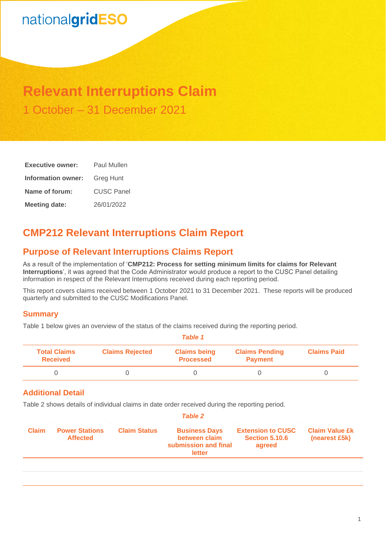# nationalgridESO

## **Relevant Interruptions Claim** 1 October – 31 December 2021

| <b>Executive owner:</b> | Paul Mullen       |  |  |
|-------------------------|-------------------|--|--|
| Information owner:      | <b>Greg Hunt</b>  |  |  |
| Name of forum:          | <b>CUSC Panel</b> |  |  |
| <b>Meeting date:</b>    | 26/01/2022        |  |  |

## **CMP212 Relevant Interruptions Claim Report**

## **Purpose of Relevant Interruptions Claims Report**

As a result of the implementation of '**CMP212: Process for setting minimum limits for claims for Relevant Interruptions**', it was agreed that the Code Administrator would produce a report to the CUSC Panel detailing information in respect of the Relevant Interruptions received during each reporting period.

This report covers claims received between 1 October 2021 to 31 December 2021. These reports will be produced quarterly and submitted to the CUSC Modifications Panel.

#### **Summary**

Table 1 below gives an overview of the status of the claims received during the reporting period.

| Table 1                                |                        |                                         |                                         |                    |  |
|----------------------------------------|------------------------|-----------------------------------------|-----------------------------------------|--------------------|--|
| <b>Total Claims</b><br><b>Received</b> | <b>Claims Rejected</b> | <b>Claims being</b><br><b>Processed</b> | <b>Claims Pending</b><br><b>Payment</b> | <b>Claims Paid</b> |  |
|                                        |                        |                                         |                                         |                    |  |

#### **Additional Detail**

Table 2 shows details of individual claims in date order received during the reporting period.

| <b>Table 2</b> |                                          |                     |                                                                         |                                                             |                                        |
|----------------|------------------------------------------|---------------------|-------------------------------------------------------------------------|-------------------------------------------------------------|----------------------------------------|
| <b>Claim</b>   | <b>Power Stations</b><br><b>Affected</b> | <b>Claim Status</b> | <b>Business Days</b><br>between claim<br>submission and final<br>letter | <b>Extension to CUSC</b><br><b>Section 5.10.6</b><br>agreed | <b>Claim Value £k</b><br>(nearest £5k) |
|                |                                          |                     |                                                                         |                                                             |                                        |